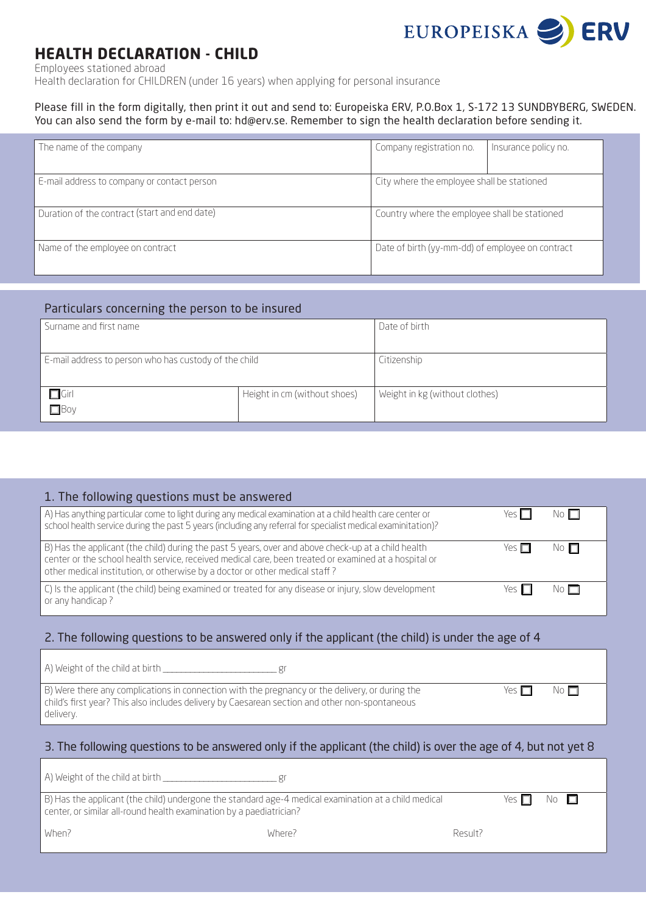

# **HEALTH DECLARATION - CHILD**

Employees stationed abroad

Health declaration for CHILDREN (under 16 years) when applying for personal insurance

#### Please fill in the form digitally, then print it out and send to: Europeiska ERV, P.O.Box 1, S-172 13 SUNDBYBERG, SWEDEN. You can also send the form by e-mail to: hd@erv.se. Remember to sign the health declaration before sending it.

| The name of the company                       | Company registration no.                         | Insurance policy no. |
|-----------------------------------------------|--------------------------------------------------|----------------------|
| E-mail address to company or contact person   | City where the employee shall be stationed       |                      |
| Duration of the contract (start and end date) | Country where the employee shall be stationed    |                      |
| Name of the employee on contract              | Date of birth (yy-mm-dd) of employee on contract |                      |

## Particulars concerning the person to be insured

| Surname and first name                                |                              | Date of birth                  |  |
|-------------------------------------------------------|------------------------------|--------------------------------|--|
|                                                       |                              |                                |  |
| E-mail address to person who has custody of the child |                              | Citizenship                    |  |
|                                                       |                              |                                |  |
| $\Box$ Girl                                           | Height in cm (without shoes) | Weight in kg (without clothes) |  |
| $\Box$                                                |                              |                                |  |

| 1. The following questions must be answered                                                                                                                                                                                                                                                 |            |                             |
|---------------------------------------------------------------------------------------------------------------------------------------------------------------------------------------------------------------------------------------------------------------------------------------------|------------|-----------------------------|
| A) Has anything particular come to light during any medical examination at a child health care center or<br>school health service during the past 5 years (including any referral for specialist medical examinitation)?                                                                    | Yes $\Box$ | No $\Box$                   |
| B) Has the applicant (the child) during the past 5 years, over and above check-up at a child health<br>center or the school health service, received medical care, been treated or examined at a hospital or<br>other medical institution, or otherwise by a doctor or other medical staff? | Yes $\Box$ | $\mathbb N$ o $\mathbb \Pi$ |
| C) Is the applicant (the child) being examined or treated for any disease or injury, slow development<br>or any handicap?                                                                                                                                                                   | Yes $\Pi$  | No $\Box$                   |

## 2. The following questions to be answered only if the applicant (the child) is under the age of 4

| A) Weight of the child at birth |  |
|---------------------------------|--|
|---------------------------------|--|

B) Were there any complications in connection with the pregnancy or the delivery, or during the child's first year? This also includes delivery by Caesarean section and other non-spontaneous delivery.

| /ρς | No l⊟ |
|-----|-------|
|     |       |

## 3. The following questions to be answered only if the applicant (the child) is over the age of 4, but not yet 8

| A) Weight of the child at birth __                                                                                                                                                 |        |         |       |                      |  |
|------------------------------------------------------------------------------------------------------------------------------------------------------------------------------------|--------|---------|-------|----------------------|--|
| $\mid$ B) Has the applicant (the child) undergone the standard age-4 medical examination at a child medical<br>center, or similar all-round health examination by a paediatrician? |        |         | Yρς Π | $\mathbb N$ o $\Box$ |  |
| When?                                                                                                                                                                              | Where? | Result? |       |                      |  |